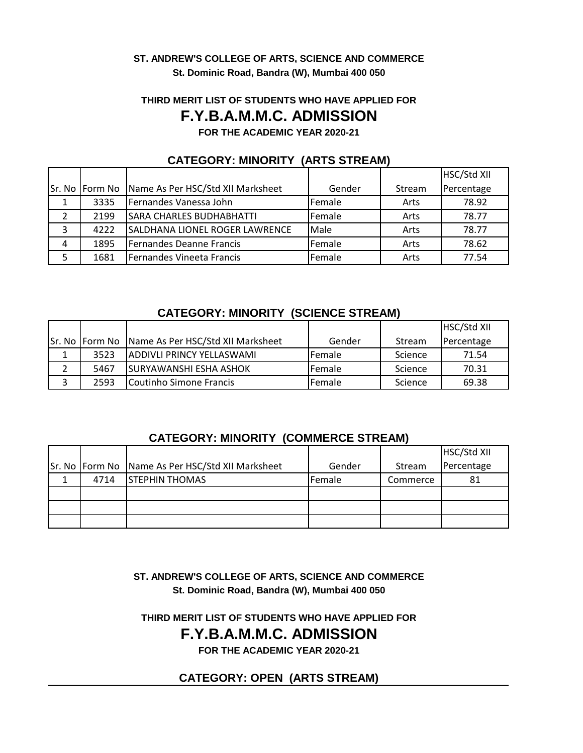#### **ST. ANDREW'S COLLEGE OF ARTS, SCIENCE AND COMMERCE St. Dominic Road, Bandra (W), Mumbai 400 050**

# **THIRD MERIT LIST OF STUDENTS WHO HAVE APPLIED FOR**

# **F.Y.B.A.M.M.C. ADMISSION**

**FOR THE ACADEMIC YEAR 2020-21**

|   |                |                                       |        |        | HSC/Std XII |
|---|----------------|---------------------------------------|--------|--------|-------------|
|   | Sr. No Form No | Name As Per HSC/Std XII Marksheet     | Gender | Stream | Percentage  |
| 1 | 3335           | Fernandes Vanessa John                | Female | Arts   | 78.92       |
|   | 2199           | <b>SARA CHARLES BUDHABHATTI</b>       | Female | Arts   | 78.77       |
| 3 | 4222           | <b>SALDHANA LIONEL ROGER LAWRENCE</b> | Male   | Arts   | 78.77       |
| 4 | 1895           | Fernandes Deanne Francis              | Female | Arts   | 78.62       |
| 5 | 1681           | Fernandes Vineeta Francis             | Female | Arts   | 77.54       |

#### **CATEGORY: MINORITY (ARTS STREAM)**

### **CATEGORY: MINORITY (SCIENCE STREAM)**

|                |                                   |                |         | HSC/Std XII |
|----------------|-----------------------------------|----------------|---------|-------------|
| Sr. No Form No | Name As Per HSC/Std XII Marksheet | Gender         | Stream  | Percentage  |
| 3523           | <b>JADDIVLI PRINCY YELLASWAMI</b> | <b>IFemale</b> | Science | 71.54       |
| 5467           | <b>SURYAWANSHI ESHA ASHOK</b>     | <b>Female</b>  | Science | 70.31       |
| 2593           | Coutinho Simone Francis           | <b>Female</b>  | Science | 69.38       |

### **CATEGORY: MINORITY (COMMERCE STREAM)**

|      |                                                  |        |          | HSC/Std XII |
|------|--------------------------------------------------|--------|----------|-------------|
|      | Sr. No Form No Name As Per HSC/Std XII Marksheet | Gender | Stream   | Percentage  |
| 4714 | <b>STEPHIN THOMAS</b>                            | Female | Commerce | 81          |
|      |                                                  |        |          |             |
|      |                                                  |        |          |             |
|      |                                                  |        |          |             |

**ST. ANDREW'S COLLEGE OF ARTS, SCIENCE AND COMMERCE St. Dominic Road, Bandra (W), Mumbai 400 050**

**THIRD MERIT LIST OF STUDENTS WHO HAVE APPLIED FOR**

# **F.Y.B.A.M.M.C. ADMISSION**

**FOR THE ACADEMIC YEAR 2020-21**

## **CATEGORY: OPEN (ARTS STREAM)**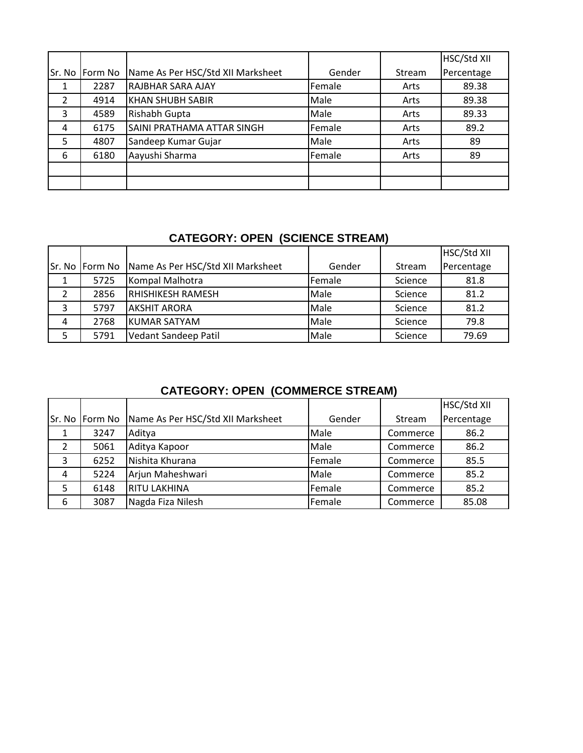|   |                |                                   |        |        | HSC/Std XII |
|---|----------------|-----------------------------------|--------|--------|-------------|
|   | Sr. No Form No | Name As Per HSC/Std XII Marksheet | Gender | Stream | Percentage  |
|   | 2287           | <b>RAJBHAR SARA AJAY</b>          | Female | Arts   | 89.38       |
| 2 | 4914           | <b>KHAN SHUBH SABIR</b>           | Male   | Arts   | 89.38       |
| 3 | 4589           | Rishabh Gupta                     | Male   | Arts   | 89.33       |
| 4 | 6175           | SAINI PRATHAMA ATTAR SINGH        | Female | Arts   | 89.2        |
| 5 | 4807           | Sandeep Kumar Gujar               | Male   | Arts   | 89          |
| 6 | 6180           | Aayushi Sharma                    | Female | Arts   | 89          |
|   |                |                                   |        |        |             |
|   |                |                                   |        |        |             |

# **CATEGORY: OPEN (SCIENCE STREAM)**

|   |                |                                   |        |         | HSC/Std XII |
|---|----------------|-----------------------------------|--------|---------|-------------|
|   | Sr. No Form No | Name As Per HSC/Std XII Marksheet | Gender | Stream  | Percentage  |
|   | 5725           | Kompal Malhotra                   | Female | Science | 81.8        |
|   | 2856           | <b>RHISHIKESH RAMESH</b>          | Male   | Science | 81.2        |
| 3 | 5797           | <b>JAKSHIT ARORA</b>              | Male   | Science | 81.2        |
| 4 | 2768           | KUMAR SATYAM                      | Male   | Science | 79.8        |
| 5 | 5791           | Vedant Sandeep Patil              | Male   | Science | 79.69       |

# **CATEGORY: OPEN (COMMERCE STREAM)**

|   |                |                                   |        |          | HSC/Std XII |
|---|----------------|-----------------------------------|--------|----------|-------------|
|   | Sr. No Form No | Name As Per HSC/Std XII Marksheet | Gender | Stream   | Percentage  |
| 1 | 3247           | Aditya                            | Male   | Commerce | 86.2        |
| 2 | 5061           | Aditya Kapoor                     | Male   | Commerce | 86.2        |
| 3 | 6252           | Nishita Khurana                   | Female | Commerce | 85.5        |
| 4 | 5224           | Arjun Maheshwari                  | Male   | Commerce | 85.2        |
| 5 | 6148           | <b>RITU LAKHINA</b>               | Female | Commerce | 85.2        |
| 6 | 3087           | Nagda Fiza Nilesh                 | Female | Commerce | 85.08       |